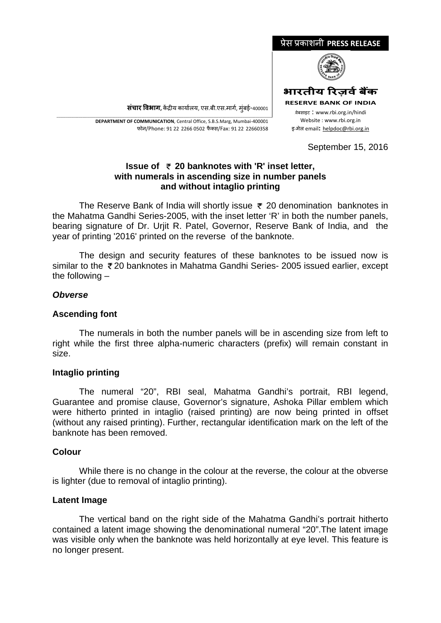

**संचार �वभाग,** क�द्र�य कायार्लय, एस.बी.एस.मागर्, मुंबई-400001

\_\_\_\_\_\_\_\_\_\_\_\_\_\_\_\_\_\_\_\_\_\_\_\_\_\_\_\_\_\_\_\_\_\_\_\_\_\_\_\_\_\_\_\_\_\_\_\_\_\_\_\_\_\_\_\_\_\_\_\_\_\_\_\_\_\_\_\_\_\_\_\_\_\_\_\_\_\_\_\_\_\_\_\_\_\_\_\_\_\_\_\_\_\_\_\_\_\_\_\_\_\_\_\_\_\_\_\_\_\_\_\_\_\_\_\_\_ **DEPARTMENT OF COMMUNICATION**, Central Office, S.B.S.Marg, Mumbai-400001 फोन/Phone: 91 22 2266 0502 फै क्स/Fax: 91 22 22660358

September 15, 2016

# **Issue of 20 banknotes with 'R' inset letter, with numerals in ascending size in number panels and without intaglio printing**

The Reserve Bank of India will shortly issue  $\bar{\tau}$  20 denomination banknotes in the Mahatma Gandhi Series-2005, with the inset letter 'R' in both the number panels, bearing signature of Dr. Urjit R. Patel, Governor, Reserve Bank of India, and the year of printing '2016' printed on the reverse of the banknote.

The design and security features of these banknotes to be issued now is similar to the ₹20 banknotes in Mahatma Gandhi Series- 2005 issued earlier, except the following –

# *Obverse*

### **Ascending font**

The numerals in both the number panels will be in ascending size from left to right while the first three alpha-numeric characters (prefix) will remain constant in size.

#### **Intaglio printing**

The numeral "20", RBI seal, Mahatma Gandhi's portrait, RBI legend, Guarantee and promise clause, Governor's signature, Ashoka Pillar emblem which were hitherto printed in intaglio (raised printing) are now being printed in offset (without any raised printing). Further, rectangular identification mark on the left of the banknote has been removed.

#### **Colour**

While there is no change in the colour at the reverse, the colour at the obverse is lighter (due to removal of intaglio printing).

#### **Latent Image**

The vertical band on the right side of the Mahatma Gandhi's portrait hitherto contained a latent image showing the denominational numeral "20".The latent image was visible only when the banknote was held horizontally at eye level. This feature is no longer present.